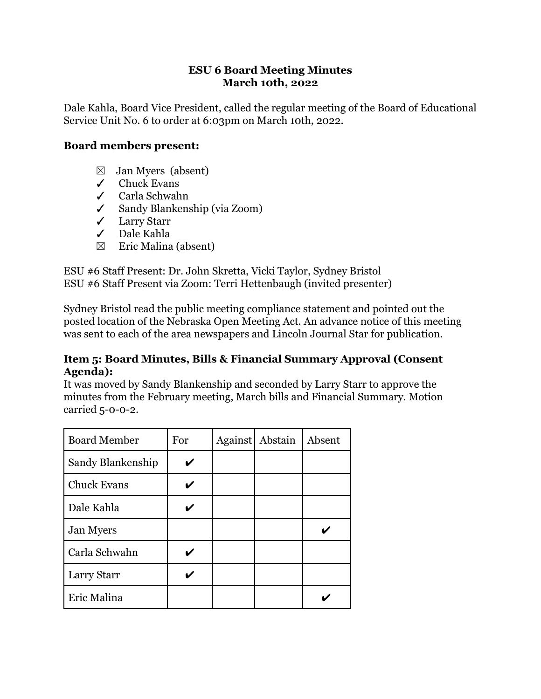### **ESU 6 Board Meeting Minutes March 10th, 2022**

Dale Kahla, Board Vice President, called the regular meeting of the Board of Educational Service Unit No. 6 to order at 6:03pm on March 10th, 2022.

### **Board members present:**

- $\boxtimes$  Jan Myers (absent)
- ✓ Chuck Evans
- ✓ Carla Schwahn
- ✓ Sandy Blankenship (via Zoom)
- ✓ Larry Starr
- ✓ Dale Kahla
- $\boxtimes$  Eric Malina (absent)

ESU #6 Staff Present: Dr. John Skretta, Vicki Taylor, Sydney Bristol ESU #6 Staff Present via Zoom: Terri Hettenbaugh (invited presenter)

Sydney Bristol read the public meeting compliance statement and pointed out the posted location of the Nebraska Open Meeting Act. An advance notice of this meeting was sent to each of the area newspapers and Lincoln Journal Star for publication.

#### **Item 5: Board Minutes, Bills & Financial Summary Approval (Consent Agenda):**

It was moved by Sandy Blankenship and seconded by Larry Starr to approve the minutes from the February meeting, March bills and Financial Summary. Motion carried 5-0-0-2.

| <b>Board Member</b> | For | <b>Against</b> | Abstain | Absent |
|---------------------|-----|----------------|---------|--------|
| Sandy Blankenship   |     |                |         |        |
| <b>Chuck Evans</b>  |     |                |         |        |
| Dale Kahla          |     |                |         |        |
| <b>Jan Myers</b>    |     |                |         |        |
| Carla Schwahn       |     |                |         |        |
| Larry Starr         |     |                |         |        |
| Eric Malina         |     |                |         |        |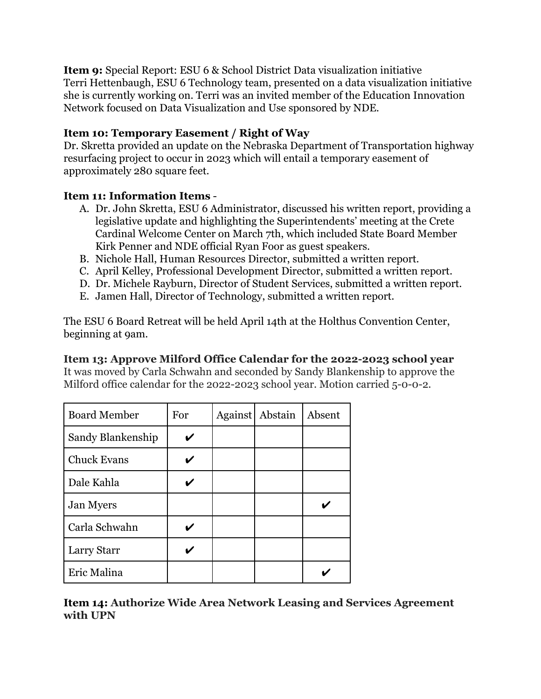**Item 9:** Special Report: ESU 6 & School District Data visualization initiative Terri Hettenbaugh, ESU 6 Technology team, presented on a data visualization initiative she is currently working on. Terri was an invited member of the Education Innovation Network focused on Data Visualization and Use sponsored by NDE.

# **Item 10: Temporary Easement / Right of Way**

Dr. Skretta provided an update on the Nebraska Department of Transportation highway resurfacing project to occur in 2023 which will entail a temporary easement of approximately 280 square feet.

# **Item 11: Information Items** -

- A. Dr. John Skretta, ESU 6 Administrator, discussed his written report, providing a legislative update and highlighting the Superintendents' meeting at the Crete Cardinal Welcome Center on March 7th, which included State Board Member Kirk Penner and NDE official Ryan Foor as guest speakers.
- B. Nichole Hall, Human Resources Director, submitted a written report.
- C. April Kelley, Professional Development Director, submitted a written report.
- D. Dr. Michele Rayburn, Director of Student Services, submitted a written report.
- E. Jamen Hall, Director of Technology, submitted a written report.

The ESU 6 Board Retreat will be held April 14th at the Holthus Convention Center, beginning at 9am.

# **Item 13: Approve Milford Office Calendar for the 2022-2023 school year**

It was moved by Carla Schwahn and seconded by Sandy Blankenship to approve the Milford office calendar for the 2022-2023 school year. Motion carried 5-0-0-2.

| <b>Board Member</b> | For | Against | Abstain | Absent |
|---------------------|-----|---------|---------|--------|
| Sandy Blankenship   |     |         |         |        |
| <b>Chuck Evans</b>  |     |         |         |        |
| Dale Kahla          |     |         |         |        |
| <b>Jan Myers</b>    |     |         |         |        |
| Carla Schwahn       |     |         |         |        |
| Larry Starr         |     |         |         |        |
| Eric Malina         |     |         |         |        |

**Item 14: Authorize Wide Area Network Leasing and Services Agreement with UPN**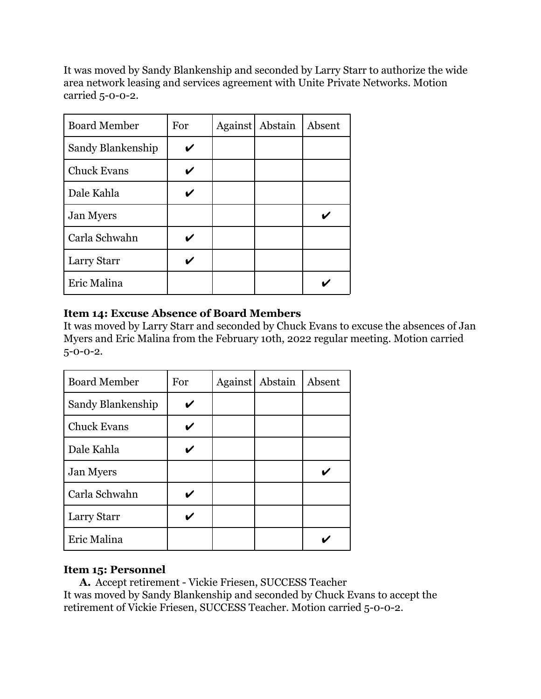It was moved by Sandy Blankenship and seconded by Larry Starr to authorize the wide area network leasing and services agreement with Unite Private Networks. Motion carried 5-0-0-2.

| <b>Board Member</b> | For | <b>Against</b> | Abstain | Absent |
|---------------------|-----|----------------|---------|--------|
| Sandy Blankenship   |     |                |         |        |
| <b>Chuck Evans</b>  |     |                |         |        |
| Dale Kahla          |     |                |         |        |
| <b>Jan Myers</b>    |     |                |         |        |
| Carla Schwahn       |     |                |         |        |
| Larry Starr         |     |                |         |        |
| Eric Malina         |     |                |         |        |

## **Item 14: Excuse Absence of Board Members**

It was moved by Larry Starr and seconded by Chuck Evans to excuse the absences of Jan Myers and Eric Malina from the February 10th, 2022 regular meeting. Motion carried  $5 - 0 - 0 - 2$ .

| <b>Board Member</b> | For | <b>Against</b> | Abstain | Absent |
|---------------------|-----|----------------|---------|--------|
| Sandy Blankenship   |     |                |         |        |
| <b>Chuck Evans</b>  |     |                |         |        |
| Dale Kahla          |     |                |         |        |
| <b>Jan Myers</b>    |     |                |         |        |
| Carla Schwahn       |     |                |         |        |
| Larry Starr         |     |                |         |        |
| Eric Malina         |     |                |         |        |

## **Item 15: Personnel**

**A.** Accept retirement - Vickie Friesen, SUCCESS Teacher It was moved by Sandy Blankenship and seconded by Chuck Evans to accept the retirement of Vickie Friesen, SUCCESS Teacher. Motion carried 5-0-0-2.